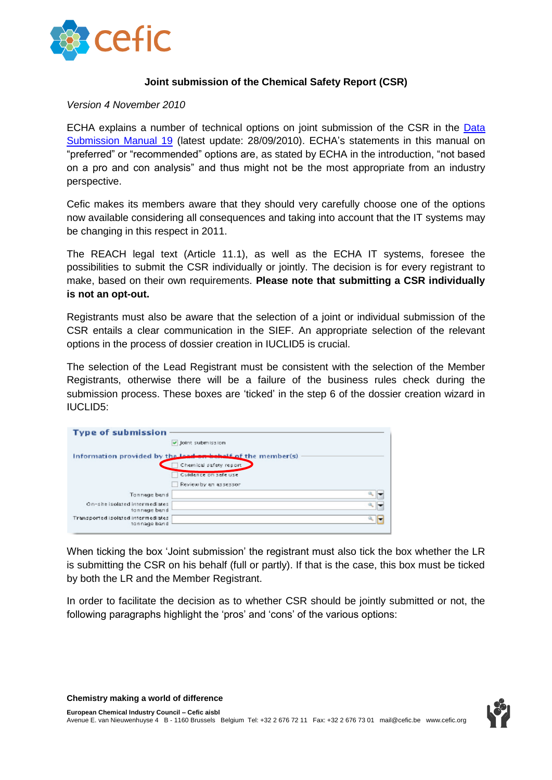

#### **Joint submission of the Chemical Safety Report (CSR)**

#### *Version 4 November 2010*

ECHA explains a number of technical options on joint submission of the CSR in the [Data](http://echa.europa.eu/doc/reachit/dsm_19_how_joint_csr_en.pdf)  [Submission Manual 19](http://echa.europa.eu/doc/reachit/dsm_19_how_joint_csr_en.pdf) (latest update: 28/09/2010). ECHA"s statements in this manual on "preferred" or "recommended" options are, as stated by ECHA in the introduction, "not based on a pro and con analysis" and thus might not be the most appropriate from an industry perspective.

Cefic makes its members aware that they should very carefully choose one of the options now available considering all consequences and taking into account that the IT systems may be changing in this respect in 2011.

The REACH legal text (Article 11.1), as well as the ECHA IT systems, foresee the possibilities to submit the CSR individually or jointly. The decision is for every registrant to make, based on their own requirements. **Please note that submitting a CSR individually is not an opt-out.**

Registrants must also be aware that the selection of a joint or individual submission of the CSR entails a clear communication in the SIEF. An appropriate selection of the relevant options in the process of dossier creation in IUCLID5 is crucial.

The selection of the Lead Registrant must be consistent with the selection of the Member Registrants, otherwise there will be a failure of the business rules check during the submission process. These boxes are "ticked" in the step 6 of the dossier creation wizard in IUCLID5:

| <b>Type of submission</b>                          |                                                             |  |
|----------------------------------------------------|-------------------------------------------------------------|--|
|                                                    | U Joint submission                                          |  |
|                                                    | Information provided by the Lead on behalf of the member(s) |  |
|                                                    | Chemical safety report                                      |  |
|                                                    | Guidance on safe use                                        |  |
|                                                    | Review by an assessor                                       |  |
| Tonnage band                                       |                                                             |  |
| On-she isolated intermediates<br>tonnage band      |                                                             |  |
| Transported isolated intermediates<br>tonnage band |                                                             |  |

When ticking the box "Joint submission" the registrant must also tick the box whether the LR is submitting the CSR on his behalf (full or partly). If that is the case, this box must be ticked by both the LR and the Member Registrant.

In order to facilitate the decision as to whether CSR should be jointly submitted or not, the following paragraphs highlight the 'pros' and 'cons' of the various options:

**Chemistry making a world of difference**

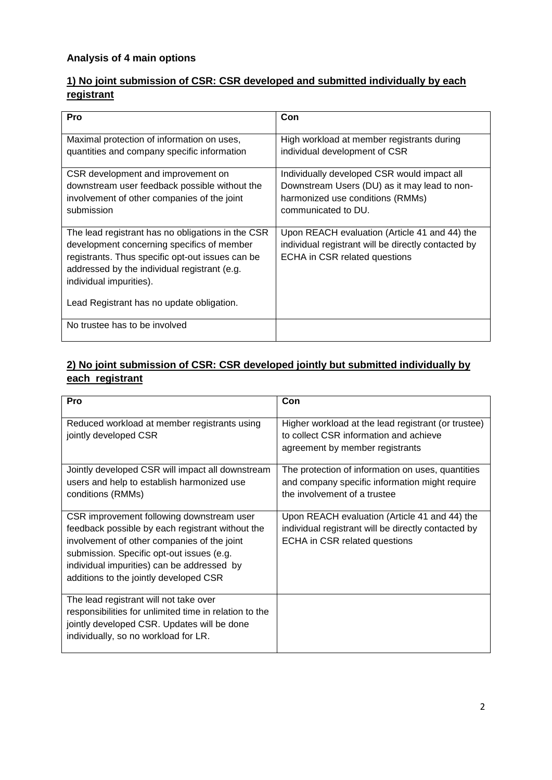## **Analysis of 4 main options**

## **1) No joint submission of CSR: CSR developed and submitted individually by each registrant**

| Pro                                                                                                                                                                                                                                                                         | Con                                                                                                                                                    |
|-----------------------------------------------------------------------------------------------------------------------------------------------------------------------------------------------------------------------------------------------------------------------------|--------------------------------------------------------------------------------------------------------------------------------------------------------|
| Maximal protection of information on uses,<br>quantities and company specific information                                                                                                                                                                                   | High workload at member registrants during<br>individual development of CSR                                                                            |
| CSR development and improvement on<br>downstream user feedback possible without the<br>involvement of other companies of the joint<br>submission                                                                                                                            | Individually developed CSR would impact all<br>Downstream Users (DU) as it may lead to non-<br>harmonized use conditions (RMMs)<br>communicated to DU. |
| The lead registrant has no obligations in the CSR<br>development concerning specifics of member<br>registrants. Thus specific opt-out issues can be<br>addressed by the individual registrant (e.g.<br>individual impurities).<br>Lead Registrant has no update obligation. | Upon REACH evaluation (Article 41 and 44) the<br>individual registrant will be directly contacted by<br>ECHA in CSR related questions                  |
| No trustee has to be involved                                                                                                                                                                                                                                               |                                                                                                                                                        |

## **2) No joint submission of CSR: CSR developed jointly but submitted individually by each registrant**

| Pro                                                                                                                                                                                                                                                                               | Con                                                                                                                                   |
|-----------------------------------------------------------------------------------------------------------------------------------------------------------------------------------------------------------------------------------------------------------------------------------|---------------------------------------------------------------------------------------------------------------------------------------|
| Reduced workload at member registrants using<br>jointly developed CSR                                                                                                                                                                                                             | Higher workload at the lead registrant (or trustee)<br>to collect CSR information and achieve<br>agreement by member registrants      |
| Jointly developed CSR will impact all downstream<br>users and help to establish harmonized use<br>conditions (RMMs)                                                                                                                                                               | The protection of information on uses, quantities<br>and company specific information might require<br>the involvement of a trustee   |
| CSR improvement following downstream user<br>feedback possible by each registrant without the<br>involvement of other companies of the joint<br>submission. Specific opt-out issues (e.g.<br>individual impurities) can be addressed by<br>additions to the jointly developed CSR | Upon REACH evaluation (Article 41 and 44) the<br>individual registrant will be directly contacted by<br>ECHA in CSR related questions |
| The lead registrant will not take over<br>responsibilities for unlimited time in relation to the<br>jointly developed CSR. Updates will be done<br>individually, so no workload for LR.                                                                                           |                                                                                                                                       |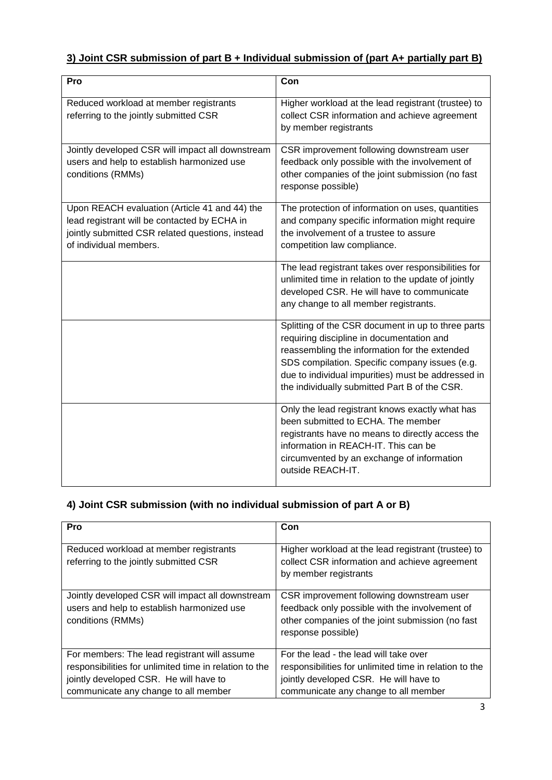## **3) Joint CSR submission of part B + Individual submission of (part A+ partially part B)**

| Pro                                                                                                                                                                         | Con                                                                                                                                                                                                                                                                                                       |
|-----------------------------------------------------------------------------------------------------------------------------------------------------------------------------|-----------------------------------------------------------------------------------------------------------------------------------------------------------------------------------------------------------------------------------------------------------------------------------------------------------|
| Reduced workload at member registrants<br>referring to the jointly submitted CSR                                                                                            | Higher workload at the lead registrant (trustee) to<br>collect CSR information and achieve agreement<br>by member registrants                                                                                                                                                                             |
| Jointly developed CSR will impact all downstream<br>users and help to establish harmonized use<br>conditions (RMMs)                                                         | CSR improvement following downstream user<br>feedback only possible with the involvement of<br>other companies of the joint submission (no fast<br>response possible)                                                                                                                                     |
| Upon REACH evaluation (Article 41 and 44) the<br>lead registrant will be contacted by ECHA in<br>jointly submitted CSR related questions, instead<br>of individual members. | The protection of information on uses, quantities<br>and company specific information might require<br>the involvement of a trustee to assure<br>competition law compliance.                                                                                                                              |
|                                                                                                                                                                             | The lead registrant takes over responsibilities for<br>unlimited time in relation to the update of jointly<br>developed CSR. He will have to communicate<br>any change to all member registrants.                                                                                                         |
|                                                                                                                                                                             | Splitting of the CSR document in up to three parts<br>requiring discipline in documentation and<br>reassembling the information for the extended<br>SDS compilation. Specific company issues (e.g.<br>due to individual impurities) must be addressed in<br>the individually submitted Part B of the CSR. |
|                                                                                                                                                                             | Only the lead registrant knows exactly what has<br>been submitted to ECHA. The member<br>registrants have no means to directly access the<br>information in REACH-IT. This can be<br>circumvented by an exchange of information<br>outside REACH-IT.                                                      |

# **4) Joint CSR submission (with no individual submission of part A or B)**

| Pro                                                                                                                                                                                      | Con                                                                                                                                                                                |
|------------------------------------------------------------------------------------------------------------------------------------------------------------------------------------------|------------------------------------------------------------------------------------------------------------------------------------------------------------------------------------|
|                                                                                                                                                                                          |                                                                                                                                                                                    |
| Reduced workload at member registrants<br>referring to the jointly submitted CSR                                                                                                         | Higher workload at the lead registrant (trustee) to<br>collect CSR information and achieve agreement<br>by member registrants                                                      |
| Jointly developed CSR will impact all downstream<br>users and help to establish harmonized use<br>conditions (RMMs)                                                                      | CSR improvement following downstream user<br>feedback only possible with the involvement of<br>other companies of the joint submission (no fast<br>response possible)              |
| For members: The lead registrant will assume<br>responsibilities for unlimited time in relation to the<br>jointly developed CSR. He will have to<br>communicate any change to all member | For the lead - the lead will take over<br>responsibilities for unlimited time in relation to the<br>jointly developed CSR. He will have to<br>communicate any change to all member |